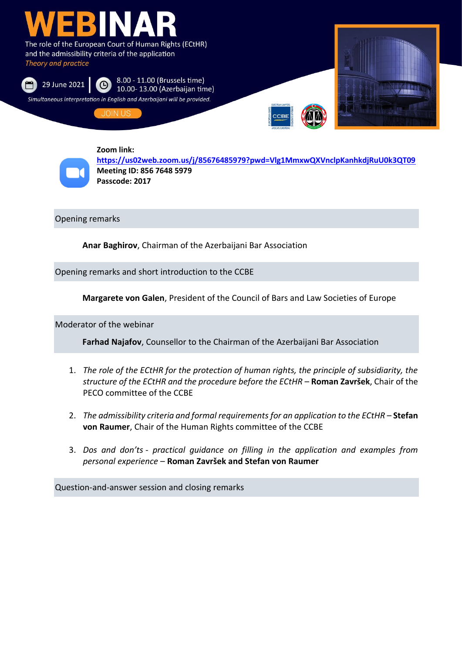

## **Zoom link:**



**<https://us02web.zoom.us/j/85676485979?pwd=Vlg1MmxwQXVnclpKanhkdjRuU0k3QT09> Meeting ID: 856 7648 5979 Passcode: 2017**

Opening remarks

**Anar Baghirov**, Chairman of the Azerbaijani Bar Association

Opening remarks and short introduction to the CCBE

**Margarete von Galen**, President of the Council of Bars and Law Societies of Europe

Moderator of the webinar

**Farhad Najafov**, Counsellor to the Chairman of the Azerbaijani Bar Association

- 1. *The role of the ECtHR for the protection of human rights, the principle of subsidiarity, the structure of the ECtHR and the procedure before the ECtHR* – **Roman Završek**, Chair of the PECO committee of the CCBE
- 2. *The admissibility criteria and formal requirements for an application to the ECtHR* **Stefan von Raumer**, Chair of the Human Rights committee of the CCBE
- 3. *Dos and don'ts - practical guidance on filling in the application and examples from personal experience* – **Roman Završek and Stefan von Raumer**

Question-and-answer session and closing remarks